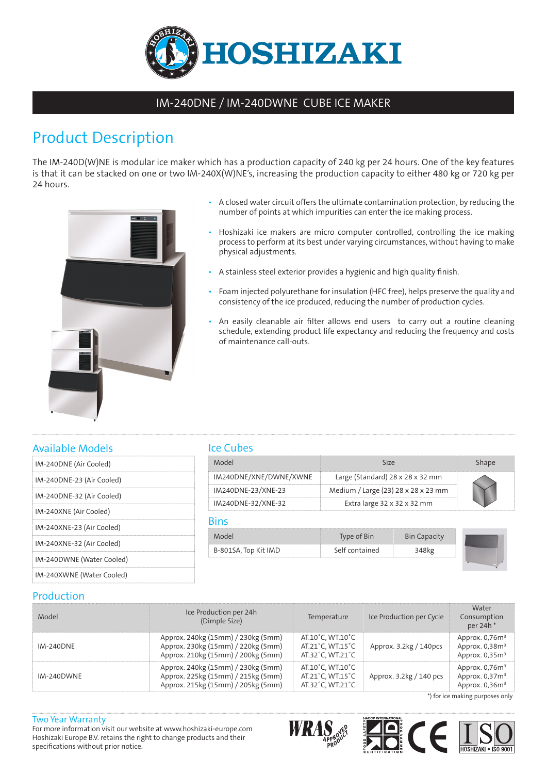

# IM-240DNE / IM-240DWNE CUBE ICE MAKER

# Product Description

The IM-240D(W)NE is modular ice maker which has a production capacity of 240 kg per 24 hours. One of the key features is that it can be stacked on one or two IM-240X(W)NE's, increasing the production capacity to either 480 kg or 720 kg per 24 hours.



- A closed water circuit offers the ultimate contamination protection, by reducing the number of points at which impurities can enter the ice making process.
- Hoshizaki ice makers are micro computer controlled, controlling the ice making process to perform at its best under varying circumstances, without having to make physical adjustments.
- A stainless steel exterior provides a hygienic and high quality finish.
- Foam injected polyurethane for insulation (HFC free), helps preserve the quality and consistency of the ice produced, reducing the number of production cycles.
- An easily cleanable air filter allows end users to carry out a routine cleaning schedule, extending product life expectancy and reducing the frequency and costs of maintenance call-outs.

## Available Models

| IM-240DNE (Air Cooled)    |
|---------------------------|
| IM-240DNE-23 (Air Cooled) |
| IM-240DNE-32 (Air Cooled) |
| IM-240XNE (Air Cooled)    |
| IM-240XNE-23 (Air Cooled) |
| IM-240XNE-32 (Air Cooled) |
| IM-240DWNE (Water Cooled) |
| IM-240XWNE (Water Cooled) |
|                           |

## Ice Cubes

| IANN                   | 517P                                    |  |
|------------------------|-----------------------------------------|--|
| IM240DNE/XNE/DWNE/XWNE | Large (Standard) 28 x 28 x 32 mm        |  |
| IM240DNE-23/XNE-23     | Medium / Large (23) 28 x 28 x 23 mm     |  |
| IM240DNE-32/XNE-32     | Extra large $32 \times 32 \times 32$ mm |  |

#### Bins

| Model                                   | Bin<br>Type of |                  |  |
|-----------------------------------------|----------------|------------------|--|
| в-801SA, Top Kit IMD<br><b>ALCOHOL:</b> | Self contained | ---------------- |  |

### Production

| Model            | Ice Production per 24h<br>(Dimple Size)                                                                        | Temperature                                              | Ice Production per Cycle | Water<br>Consumption<br>per 24h <sup>*</sup>              |
|------------------|----------------------------------------------------------------------------------------------------------------|----------------------------------------------------------|--------------------------|-----------------------------------------------------------|
| <b>IM-240DNE</b> | Approx. 240kg (15mm) / 230kg (5mm)<br>Approx. 230kg (15mm) / 220kg (5mm)<br>Approx. 210kg (15mm) / 200kg (5mm) | AT.10°C. WT.10°C<br>AT.21°C, WT.15°C<br>AT.32°C. WT.21°C | Approx. 3.2kg / 140pcs   | Approx. $0,76m^3$<br>Approx. $0.38m3$<br>Approx. $0.35m3$ |
| IM-240DWNE       | Approx. 240kg (15mm) / 230kg (5mm)<br>Approx. 225kg (15mm) / 215kg (5mm)<br>Approx. 215kg (15mm) / 205kg (5mm) | AT.10°C. WT.10°C<br>AT.21°C. WT.15°C<br>AT.32°C. WT.21°C | Approx. 3.2kg / 140 pcs  | Approx. $0,76m^3$<br>Approx. $0.373$<br>Approx. $0,36m3$  |

\*) for ice making purposes only

#### Two Year Warranty

For more information visit our website at www.hoshizaki-europe.com Hoshizaki Europe B.V. retains the right to change products and their specifications without prior notice.